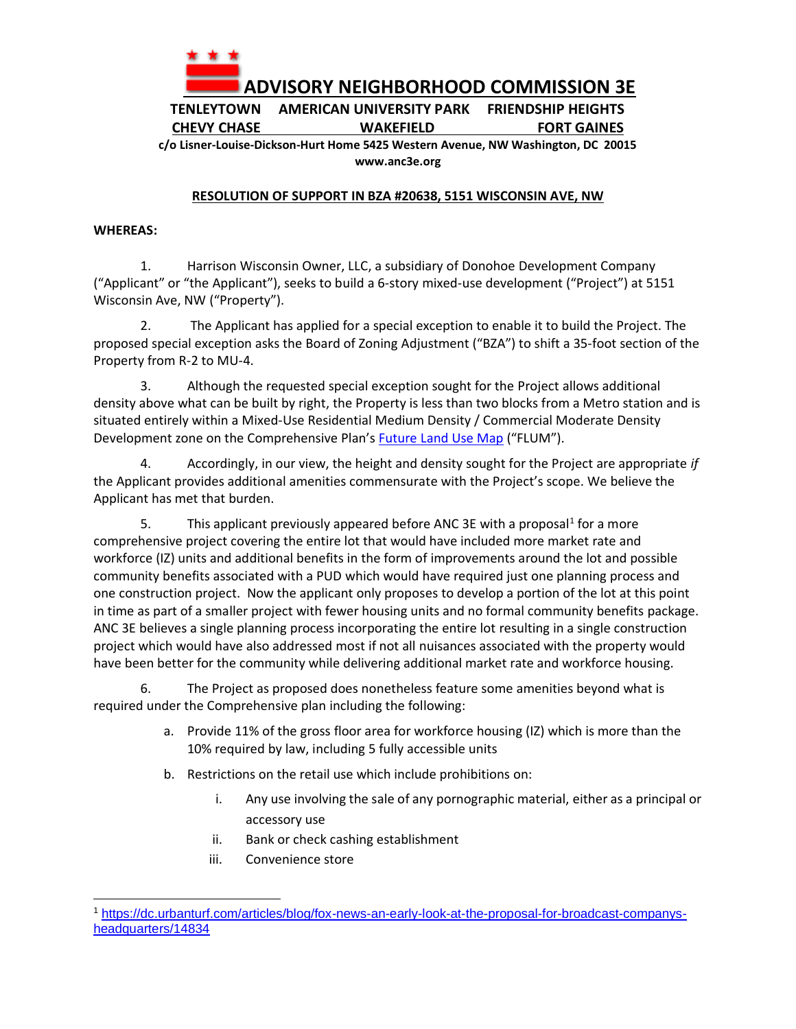

**TENLEYTOWN AMERICAN UNIVERSITY PARK FRIENDSHIP HEIGHTS CHEVY CHASE WAKEFIELD FORT GAINES**

**c/o Lisner-Louise-Dickson-Hurt Home 5425 Western Avenue, NW Washington, DC 20015 www.anc3e.org**

## **RESOLUTION OF SUPPORT IN BZA #20638, 5151 WISCONSIN AVE, NW**

## **WHEREAS:**

1. Harrison Wisconsin Owner, LLC, a subsidiary of Donohoe Development Company ("Applicant" or "the Applicant"), seeks to build a 6-story mixed-use development ("Project") at 5151 Wisconsin Ave, NW ("Property").

2. The Applicant has applied for a special exception to enable it to build the Project. The proposed special exception asks the Board of Zoning Adjustment ("BZA") to shift a 35-foot section of the Property from R-2 to MU-4.

3. Although the requested special exception sought for the Project allows additional density above what can be built by right, the Property is less than two blocks from a Metro station and is situated entirely within a Mixed-Use Residential Medium Density / Commercial Moderate Density Development zone on the Comprehensive Plan's [Future Land Use Map](https://plandc.dc.gov/page/future-land-use-map-and-generalized-policy-map) ("FLUM").

4. Accordingly, in our view, the height and density sought for the Project are appropriate *if* the Applicant provides additional amenities commensurate with the Project's scope. We believe the Applicant has met that burden.

5. This applicant previously appeared before ANC 3E with a proposal<sup>1</sup> for a more comprehensive project covering the entire lot that would have included more market rate and workforce (IZ) units and additional benefits in the form of improvements around the lot and possible community benefits associated with a PUD which would have required just one planning process and one construction project. Now the applicant only proposes to develop a portion of the lot at this point in time as part of a smaller project with fewer housing units and no formal community benefits package. ANC 3E believes a single planning process incorporating the entire lot resulting in a single construction project which would have also addressed most if not all nuisances associated with the property would have been better for the community while delivering additional market rate and workforce housing.

6. The Project as proposed does nonetheless feature some amenities beyond what is required under the Comprehensive plan including the following:

- a. Provide 11% of the gross floor area for workforce housing (IZ) which is more than the 10% required by law, including 5 fully accessible units
- b. Restrictions on the retail use which include prohibitions on:
	- i. Any use involving the sale of any pornographic material, either as a principal or accessory use
	- ii. Bank or check cashing establishment
	- iii. Convenience store

<sup>1</sup> [https://dc.urbanturf.com/articles/blog/fox-news-an-early-look-at-the-proposal-for-broadcast-companys](https://dc.urbanturf.com/articles/blog/fox-news-an-early-look-at-the-proposal-for-broadcast-companys-headquarters/14834)[headquarters/14834](https://dc.urbanturf.com/articles/blog/fox-news-an-early-look-at-the-proposal-for-broadcast-companys-headquarters/14834)